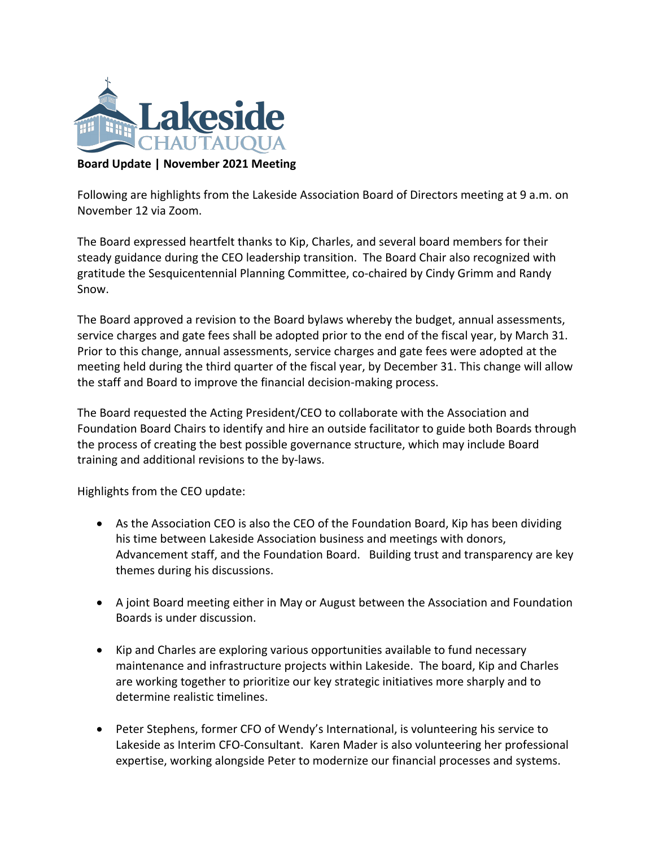

## **Board Update | November 2021 Meeting**

Following are highlights from the Lakeside Association Board of Directors meeting at 9 a.m. on November 12 via Zoom.

The Board expressed heartfelt thanks to Kip, Charles, and several board members for their steady guidance during the CEO leadership transition. The Board Chair also recognized with gratitude the Sesquicentennial Planning Committee, co-chaired by Cindy Grimm and Randy Snow.

The Board approved a revision to the Board bylaws whereby the budget, annual assessments, service charges and gate fees shall be adopted prior to the end of the fiscal year, by March 31. Prior to this change, annual assessments, service charges and gate fees were adopted at the meeting held during the third quarter of the fiscal year, by December 31. This change will allow the staff and Board to improve the financial decision-making process.

The Board requested the Acting President/CEO to collaborate with the Association and Foundation Board Chairs to identify and hire an outside facilitator to guide both Boards through the process of creating the best possible governance structure, which may include Board training and additional revisions to the by-laws.

Highlights from the CEO update:

- As the Association CEO is also the CEO of the Foundation Board, Kip has been dividing his time between Lakeside Association business and meetings with donors, Advancement staff, and the Foundation Board. Building trust and transparency are key themes during his discussions.
- A joint Board meeting either in May or August between the Association and Foundation Boards is under discussion.
- Kip and Charles are exploring various opportunities available to fund necessary maintenance and infrastructure projects within Lakeside. The board, Kip and Charles are working together to prioritize our key strategic initiatives more sharply and to determine realistic timelines.
- Peter Stephens, former CFO of Wendy's International, is volunteering his service to Lakeside as Interim CFO-Consultant. Karen Mader is also volunteering her professional expertise, working alongside Peter to modernize our financial processes and systems.